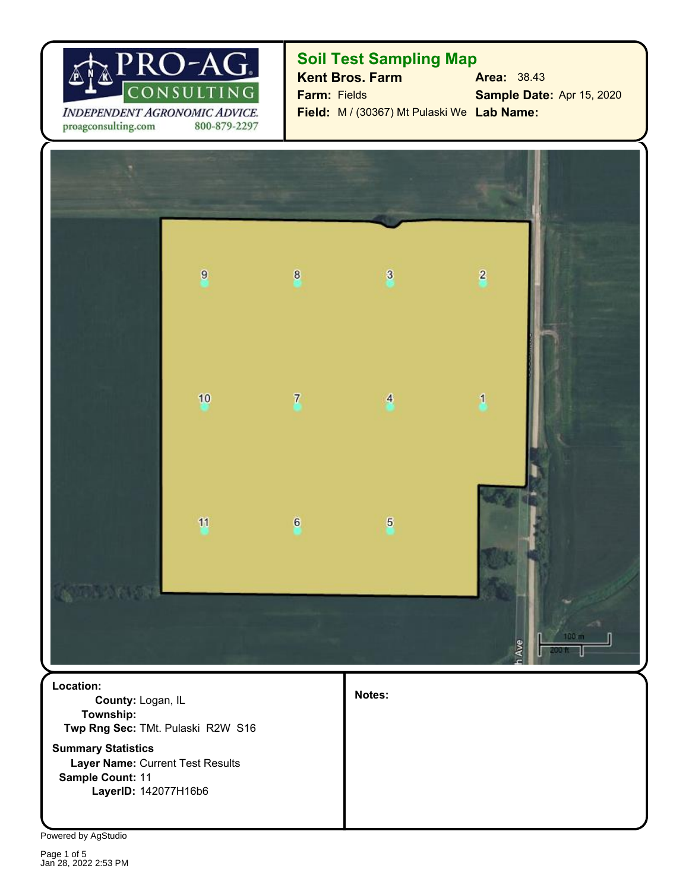

proagconsulting.com 800-879-2297

## **Soil Test Sampling Map**

**Kent Bros. Farm Area:** 38.43 **Sample Date:** Apr 15, 2020 **Field:** M / (30367) Mt Pulaski We Lab Name: **Farm:** Fields



**Layer Name:** Current Test Results **Summary Statistics Twp Rng Sec:** TMt. Pulaski R2W S16 **County:** Logan, IL **Location: Township:**

**Sample Count:** 11 **LayerID:** 142077H16b6 **Notes:**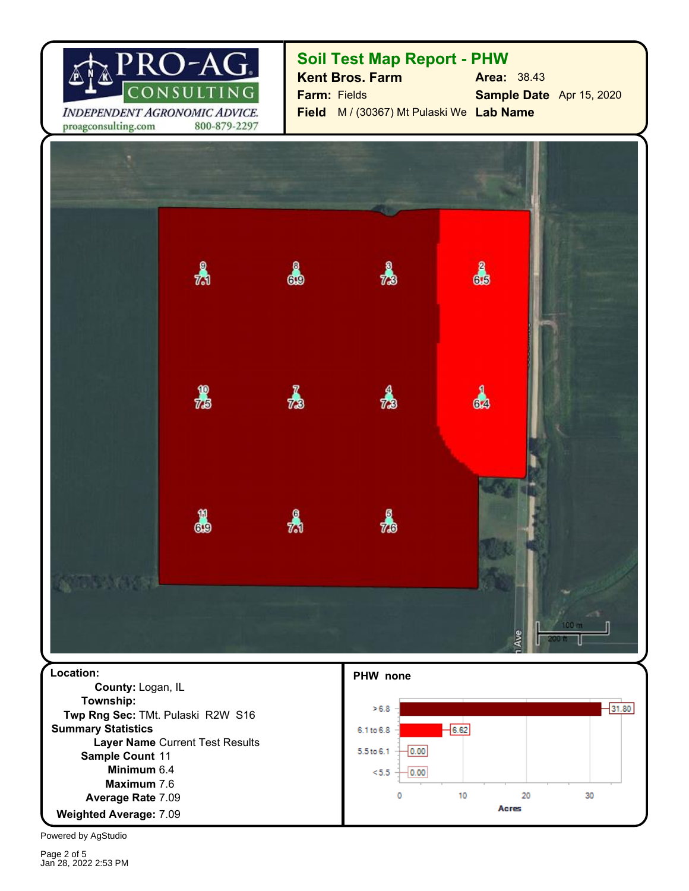

## **Soil Test Map Report - PHW**

**Sample Date** Apr 15, 2020 **Field** M / (30367) Mt Pulaski We **Lab Name Farm:** Fields **Kent Bros. Farm Area:** 38.43

4  $\lambda$  $\frac{3}{73}$ ക  $\frac{1}{15}$ d  $\boldsymbol{t}$  $73$ 8  $\lambda$ 矗

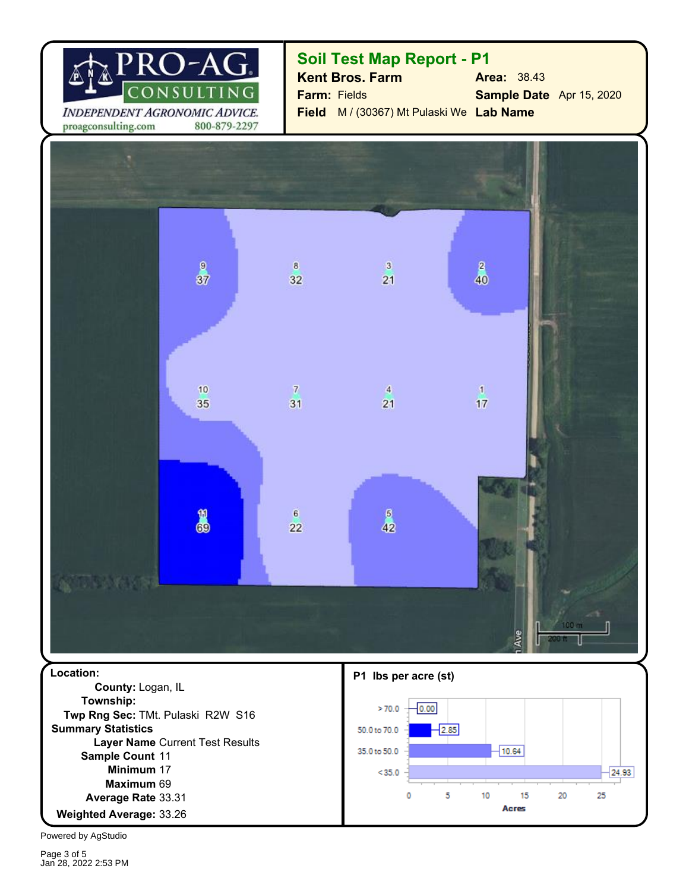

## **Soil Test Map Report - P1**

**Sample Date** Apr 15, 2020 **Field** M / (30367) Mt Pulaski We **Lab Name Farm:** Fields **Kent Bros. Farm Area:** 38.43

 $\frac{2}{40}$  $\mathbf 9$  $\overline{8}$  $\overline{\mathbf{3}}$  $37$  $21$ 32 10  $\overline{\tau}$  $\overline{4}$  $\mathbf{1}$ 35 31 21  $17$  $\frac{5}{42}$ 8  $6\overline{6}$ 22 **Location: P1 lbs per acre (st) County:** Logan, IL **Township:**  $-0.00$  $>70.0$ 

**Minimum** 17 33.26 **Weighted Average:** Average Rate 33.31 69 **Maximum** Sample Count 11 **Layer Name** Current Test Results **Summary Statistics Twp Rng Sec:** TMt. Pulaski R2W S16

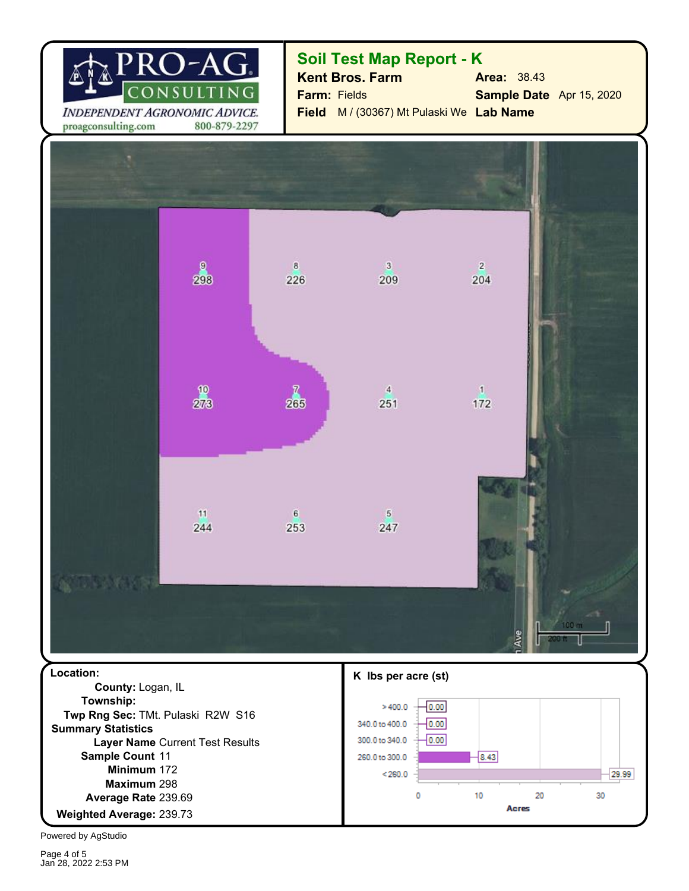

**Soil Test Map Report - K**

**Sample Date** Apr 15, 2020 **Field** M / (30367) Mt Pulaski We **Lab Name Farm:** Fields **Kent Bros. Farm Area:** 38.43

proagconsulting.com 800-879-2297



**Minimum** 172 239.73 **Weighted Average:** 239.69 **Average Rate** 298 **Maximum** Sample Count 11 **Layer Name** Current Test Results **Summary Statistics**